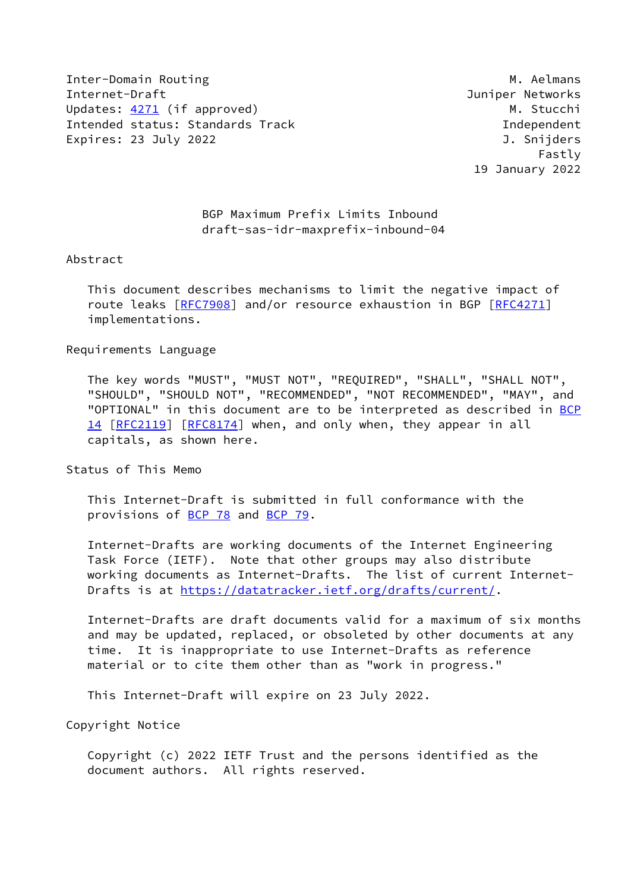Inter-Domain Routing Management Communications of the Management of Management American Management Management of Ma Internet-Draft Juniper Networks Updates: [4271](https://datatracker.ietf.org/doc/pdf/rfc4271) (if approved) and the control of the M. Stucchi Intended status: Standards Track Independent Expires: 23 July 2022 J. Snijders

 Fastly 19 January 2022

# BGP Maximum Prefix Limits Inbound draft-sas-idr-maxprefix-inbound-04

#### Abstract

 This document describes mechanisms to limit the negative impact of route leaks [\[RFC7908](https://datatracker.ietf.org/doc/pdf/rfc7908)] and/or resource exhaustion in BGP [\[RFC4271](https://datatracker.ietf.org/doc/pdf/rfc4271)] implementations.

### Requirements Language

 The key words "MUST", "MUST NOT", "REQUIRED", "SHALL", "SHALL NOT", "SHOULD", "SHOULD NOT", "RECOMMENDED", "NOT RECOMMENDED", "MAY", and "OPTIONAL" in this document are to be interpreted as described in [BCP](https://datatracker.ietf.org/doc/pdf/bcp14) [14](https://datatracker.ietf.org/doc/pdf/bcp14) [[RFC2119\]](https://datatracker.ietf.org/doc/pdf/rfc2119) [\[RFC8174](https://datatracker.ietf.org/doc/pdf/rfc8174)] when, and only when, they appear in all capitals, as shown here.

## Status of This Memo

 This Internet-Draft is submitted in full conformance with the provisions of [BCP 78](https://datatracker.ietf.org/doc/pdf/bcp78) and [BCP 79](https://datatracker.ietf.org/doc/pdf/bcp79).

 Internet-Drafts are working documents of the Internet Engineering Task Force (IETF). Note that other groups may also distribute working documents as Internet-Drafts. The list of current Internet- Drafts is at<https://datatracker.ietf.org/drafts/current/>.

 Internet-Drafts are draft documents valid for a maximum of six months and may be updated, replaced, or obsoleted by other documents at any time. It is inappropriate to use Internet-Drafts as reference material or to cite them other than as "work in progress."

This Internet-Draft will expire on 23 July 2022.

Copyright Notice

 Copyright (c) 2022 IETF Trust and the persons identified as the document authors. All rights reserved.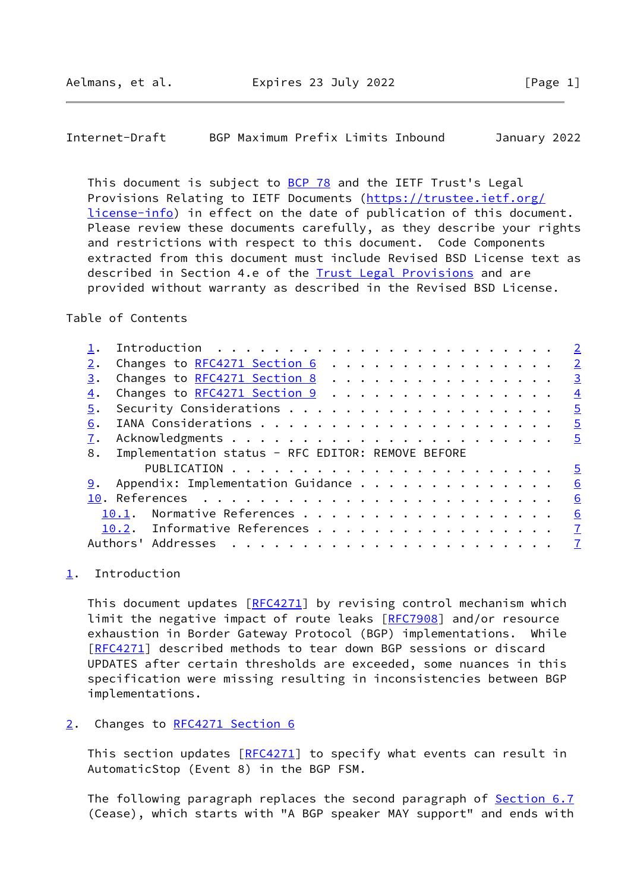<span id="page-1-1"></span>Internet-Draft BGP Maximum Prefix Limits Inbound January 2022

This document is subject to [BCP 78](https://datatracker.ietf.org/doc/pdf/bcp78) and the IETF Trust's Legal Provisions Relating to IETF Documents ([https://trustee.ietf.org/](https://trustee.ietf.org/license-info) [license-info](https://trustee.ietf.org/license-info)) in effect on the date of publication of this document. Please review these documents carefully, as they describe your rights and restrictions with respect to this document. Code Components extracted from this document must include Revised BSD License text as described in Section 4.e of the **Trust Legal Provisions** and are provided without warranty as described in the Revised BSD License.

Table of Contents

|    |                                                   |  |  |  |  |  |  |  |  |  |  |  | $\overline{2}$ |
|----|---------------------------------------------------|--|--|--|--|--|--|--|--|--|--|--|----------------|
|    | Changes to RFC4271 Section 6                      |  |  |  |  |  |  |  |  |  |  |  | $\overline{2}$ |
| 3. | Changes to RFC4271 Section 8                      |  |  |  |  |  |  |  |  |  |  |  | $\overline{3}$ |
| 4. | Changes to RFC4271 Section 9                      |  |  |  |  |  |  |  |  |  |  |  | $\overline{4}$ |
| 5. |                                                   |  |  |  |  |  |  |  |  |  |  |  | $\overline{5}$ |
| 6. |                                                   |  |  |  |  |  |  |  |  |  |  |  | $\overline{5}$ |
|    |                                                   |  |  |  |  |  |  |  |  |  |  |  | $\overline{5}$ |
|    |                                                   |  |  |  |  |  |  |  |  |  |  |  |                |
| 8. | Implementation status - RFC EDITOR: REMOVE BEFORE |  |  |  |  |  |  |  |  |  |  |  |                |
|    |                                                   |  |  |  |  |  |  |  |  |  |  |  | $\overline{5}$ |
| 9. | Appendix: Implementation Guidance                 |  |  |  |  |  |  |  |  |  |  |  | 6              |
|    |                                                   |  |  |  |  |  |  |  |  |  |  |  | 6              |
|    | 10.1.                                             |  |  |  |  |  |  |  |  |  |  |  | 6              |
|    | 10.2. Informative References 7                    |  |  |  |  |  |  |  |  |  |  |  |                |
|    | Authors' Addresses                                |  |  |  |  |  |  |  |  |  |  |  |                |

<span id="page-1-0"></span>[1](#page-1-0). Introduction

This document updates [[RFC4271](https://datatracker.ietf.org/doc/pdf/rfc4271)] by revising control mechanism which limit the negative impact of route leaks [\[RFC7908](https://datatracker.ietf.org/doc/pdf/rfc7908)] and/or resource exhaustion in Border Gateway Protocol (BGP) implementations. While [\[RFC4271](https://datatracker.ietf.org/doc/pdf/rfc4271)] described methods to tear down BGP sessions or discard UPDATES after certain thresholds are exceeded, some nuances in this specification were missing resulting in inconsistencies between BGP implementations.

### <span id="page-1-2"></span>[2](#page-1-2). Changes to [RFC4271 Section](https://datatracker.ietf.org/doc/pdf/rfc4271#section-6) 6

This section updates [\[RFC4271](https://datatracker.ietf.org/doc/pdf/rfc4271)] to specify what events can result in AutomaticStop (Event 8) in the BGP FSM.

The following paragraph replaces the second paragraph of **Section 6.7** (Cease), which starts with "A BGP speaker MAY support" and ends with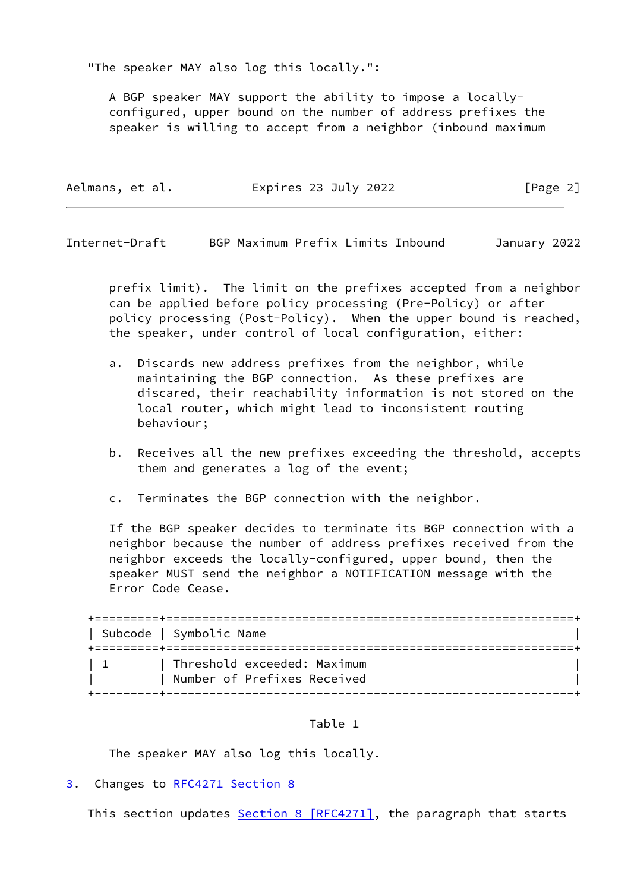"The speaker MAY also log this locally.":

 A BGP speaker MAY support the ability to impose a locally configured, upper bound on the number of address prefixes the speaker is willing to accept from a neighbor (inbound maximum

| Aelmans, et al. | Expires 23 July 2022 | [Page 2] |
|-----------------|----------------------|----------|
|-----------------|----------------------|----------|

<span id="page-2-1"></span>Internet-Draft BGP Maximum Prefix Limits Inbound January 2022

 prefix limit). The limit on the prefixes accepted from a neighbor can be applied before policy processing (Pre-Policy) or after policy processing (Post-Policy). When the upper bound is reached, the speaker, under control of local configuration, either:

- a. Discards new address prefixes from the neighbor, while maintaining the BGP connection. As these prefixes are discared, their reachability information is not stored on the local router, which might lead to inconsistent routing behaviour;
- b. Receives all the new prefixes exceeding the threshold, accepts them and generates a log of the event;
- c. Terminates the BGP connection with the neighbor.

 If the BGP speaker decides to terminate its BGP connection with a neighbor because the number of address prefixes received from the neighbor exceeds the locally-configured, upper bound, then the speaker MUST send the neighbor a NOTIFICATION message with the Error Code Cease.

| Subcode   Symbolic Name                                    |  |
|------------------------------------------------------------|--|
| Threshold exceeded: Maximum<br>Number of Prefixes Received |  |

### Table 1

The speaker MAY also log this locally.

<span id="page-2-0"></span>[3](#page-2-0). Changes to [RFC4271 Section](https://datatracker.ietf.org/doc/pdf/rfc4271#section-8) 8

This section updates Section [8 \[RFC4271\]](https://datatracker.ietf.org/doc/pdf/rfc4271#section-8), the paragraph that starts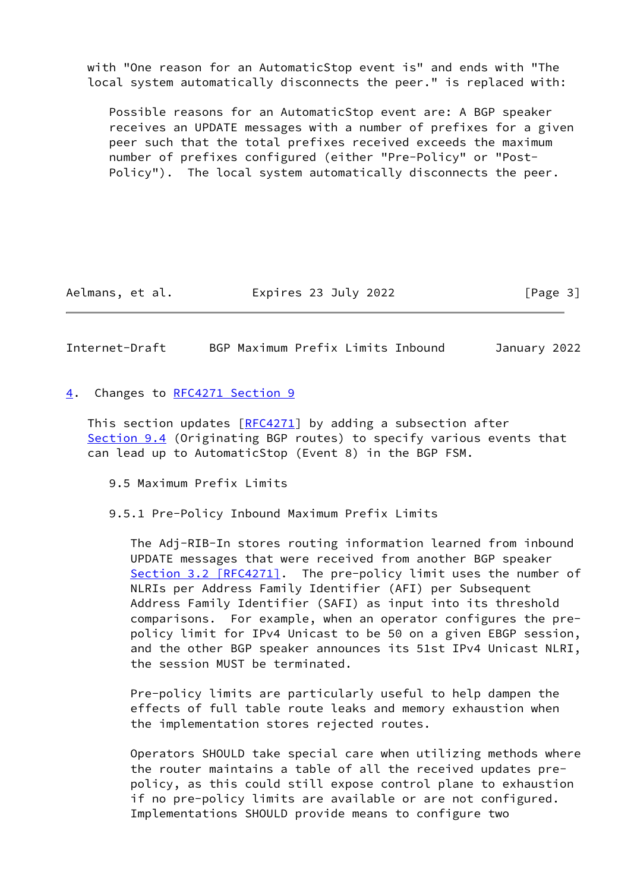with "One reason for an AutomaticStop event is" and ends with "The local system automatically disconnects the peer." is replaced with:

 Possible reasons for an AutomaticStop event are: A BGP speaker receives an UPDATE messages with a number of prefixes for a given peer such that the total prefixes received exceeds the maximum number of prefixes configured (either "Pre-Policy" or "Post- Policy"). The local system automatically disconnects the peer.

Aelmans, et al. Expires 23 July 2022 [Page 3]

<span id="page-3-1"></span>Internet-Draft BGP Maximum Prefix Limits Inbound January 2022

### <span id="page-3-0"></span>[4](#page-3-0). Changes to [RFC4271 Section](https://datatracker.ietf.org/doc/pdf/rfc4271#section-9) 9

This section updates  $[REC4271]$  by adding a subsection after Section 9.4 (Originating BGP routes) to specify various events that can lead up to AutomaticStop (Event 8) in the BGP FSM.

- 9.5 Maximum Prefix Limits
- 9.5.1 Pre-Policy Inbound Maximum Prefix Limits

 The Adj-RIB-In stores routing information learned from inbound UPDATE messages that were received from another BGP speaker Section [3.2 \[RFC4271\].](https://datatracker.ietf.org/doc/pdf/rfc4271#section-3.2) The pre-policy limit uses the number of NLRIs per Address Family Identifier (AFI) per Subsequent Address Family Identifier (SAFI) as input into its threshold comparisons. For example, when an operator configures the pre policy limit for IPv4 Unicast to be 50 on a given EBGP session, and the other BGP speaker announces its 51st IPv4 Unicast NLRI, the session MUST be terminated.

 Pre-policy limits are particularly useful to help dampen the effects of full table route leaks and memory exhaustion when the implementation stores rejected routes.

 Operators SHOULD take special care when utilizing methods where the router maintains a table of all the received updates pre policy, as this could still expose control plane to exhaustion if no pre-policy limits are available or are not configured. Implementations SHOULD provide means to configure two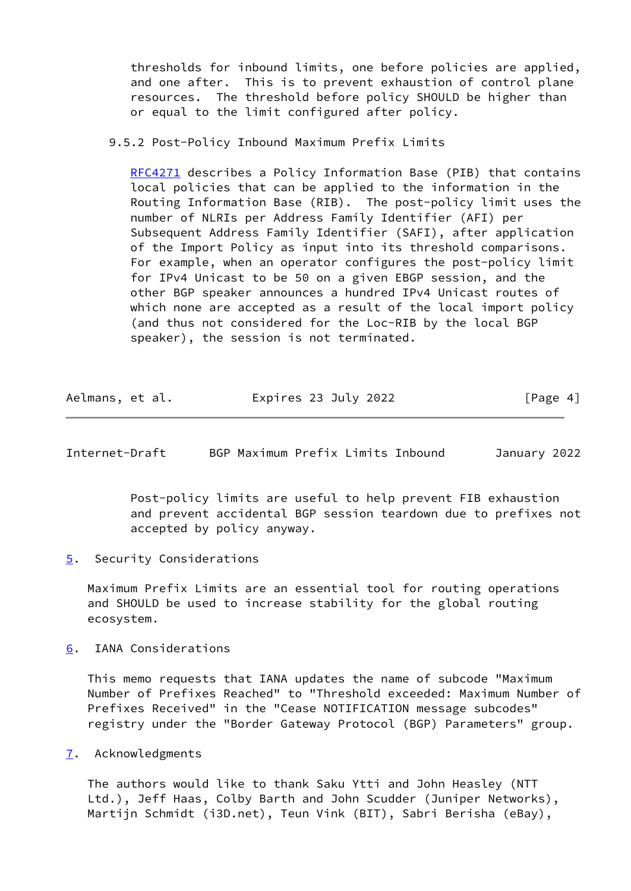thresholds for inbound limits, one before policies are applied, and one after. This is to prevent exhaustion of control plane resources. The threshold before policy SHOULD be higher than or equal to the limit configured after policy.

## 9.5.2 Post-Policy Inbound Maximum Prefix Limits

 [RFC4271](https://datatracker.ietf.org/doc/pdf/rfc4271) describes a Policy Information Base (PIB) that contains local policies that can be applied to the information in the Routing Information Base (RIB). The post-policy limit uses the number of NLRIs per Address Family Identifier (AFI) per Subsequent Address Family Identifier (SAFI), after application of the Import Policy as input into its threshold comparisons. For example, when an operator configures the post-policy limit for IPv4 Unicast to be 50 on a given EBGP session, and the other BGP speaker announces a hundred IPv4 Unicast routes of which none are accepted as a result of the local import policy (and thus not considered for the Loc-RIB by the local BGP speaker), the session is not terminated.

| Aelmans, et al. | Expires 23 July 2022 | [Page 4] |
|-----------------|----------------------|----------|
|-----------------|----------------------|----------|

<span id="page-4-1"></span>Internet-Draft BGP Maximum Prefix Limits Inbound January 2022

 Post-policy limits are useful to help prevent FIB exhaustion and prevent accidental BGP session teardown due to prefixes not accepted by policy anyway.

<span id="page-4-0"></span>[5](#page-4-0). Security Considerations

 Maximum Prefix Limits are an essential tool for routing operations and SHOULD be used to increase stability for the global routing ecosystem.

<span id="page-4-2"></span>[6](#page-4-2). IANA Considerations

 This memo requests that IANA updates the name of subcode "Maximum Number of Prefixes Reached" to "Threshold exceeded: Maximum Number of Prefixes Received" in the "Cease NOTIFICATION message subcodes" registry under the "Border Gateway Protocol (BGP) Parameters" group.

<span id="page-4-3"></span>[7](#page-4-3). Acknowledgments

 The authors would like to thank Saku Ytti and John Heasley (NTT Ltd.), Jeff Haas, Colby Barth and John Scudder (Juniper Networks), Martijn Schmidt (i3D.net), Teun Vink (BIT), Sabri Berisha (eBay),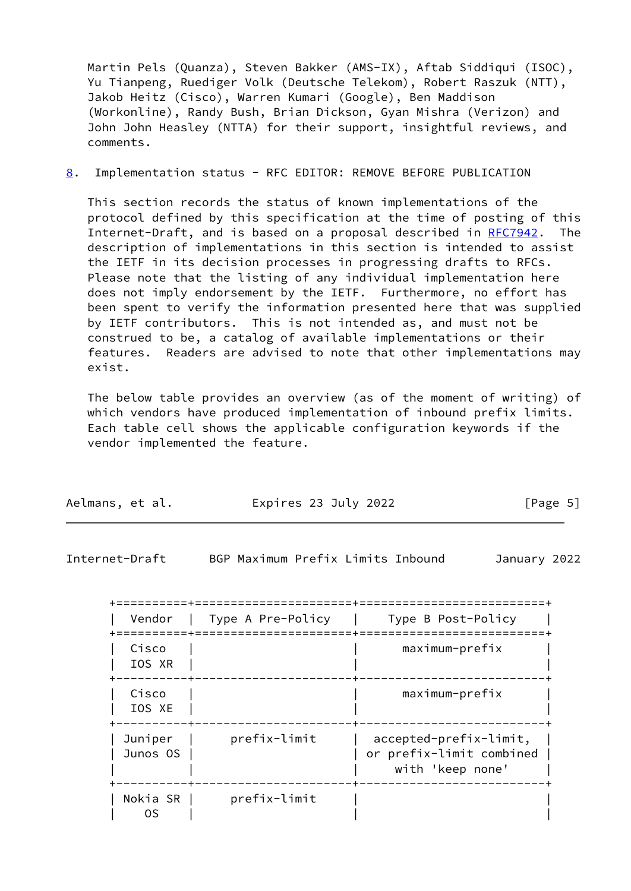Martin Pels (Quanza), Steven Bakker (AMS-IX), Aftab Siddiqui (ISOC), Yu Tianpeng, Ruediger Volk (Deutsche Telekom), Robert Raszuk (NTT), Jakob Heitz (Cisco), Warren Kumari (Google), Ben Maddison (Workonline), Randy Bush, Brian Dickson, Gyan Mishra (Verizon) and John John Heasley (NTTA) for their support, insightful reviews, and comments.

<span id="page-5-1"></span>[8](#page-5-1). Implementation status - RFC EDITOR: REMOVE BEFORE PUBLICATION

 This section records the status of known implementations of the protocol defined by this specification at the time of posting of this Internet-Draft, and is based on a proposal described in [RFC7942](https://datatracker.ietf.org/doc/pdf/rfc7942). The description of implementations in this section is intended to assist the IETF in its decision processes in progressing drafts to RFCs. Please note that the listing of any individual implementation here does not imply endorsement by the IETF. Furthermore, no effort has been spent to verify the information presented here that was supplied by IETF contributors. This is not intended as, and must not be construed to be, a catalog of available implementations or their features. Readers are advised to note that other implementations may exist.

 The below table provides an overview (as of the moment of writing) of which vendors have produced implementation of inbound prefix limits. Each table cell shows the applicable configuration keywords if the vendor implemented the feature.

| Aelmans, et al. | Expires 23 July 2022 | [Page 5] |
|-----------------|----------------------|----------|
|-----------------|----------------------|----------|

<span id="page-5-0"></span>Internet-Draft BGP Maximum Prefix Limits Inbound January 2022

| Vendor              | Type A Pre-Policy | Type B Post-Policy                                                     |
|---------------------|-------------------|------------------------------------------------------------------------|
| Cisco<br>IOS XR     |                   | maximum-prefix                                                         |
| Cisco<br>IOS XE     |                   | $maximum-prefix$                                                       |
| Juniper<br>Junos OS | prefix-limit      | accepted-prefix-limit,<br>or prefix-limit combined<br>with 'keep none' |
| Nokia SR<br>0S      | prefix-limit      |                                                                        |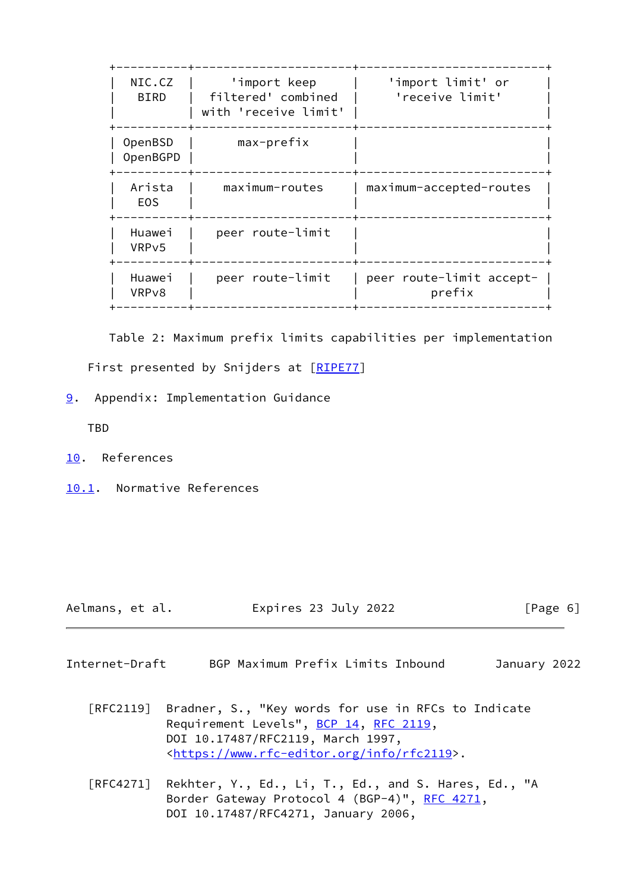| NIC.CZ<br><b>BIRD</b>        | 'import keep<br>filtered' combined<br>with 'receive limit' | 'import limit' or<br>'receive limit' |
|------------------------------|------------------------------------------------------------|--------------------------------------|
| OpenBSD<br>OpenBGPD          | max-prefix                                                 |                                      |
| Arista<br>E <sub>O</sub> S   | maximum-routes                                             | maximum-accepted-routes              |
| Huawei<br>VRP <sub>v</sub> 5 | peer route-limit                                           |                                      |
| Huawei<br>VRP <sub>v8</sub>  | peer route-limit                                           | peer route-limit accept-<br>prefix   |
|                              |                                                            |                                      |

 Table 2: Maximum prefix limits capabilities per implementation First presented by Snijders at [\[RIPE77](#page-7-1)]

<span id="page-6-0"></span>[9](#page-6-0). Appendix: Implementation Guidance

TBD

- <span id="page-6-1"></span>[10.](#page-6-1) References
- <span id="page-6-2"></span>[10.1](#page-6-2). Normative References

- Aelmans, et al. Expires 23 July 2022 [Page 6]
- <span id="page-6-3"></span>Internet-Draft BGP Maximum Prefix Limits Inbound January 2022
	- [RFC2119] Bradner, S., "Key words for use in RFCs to Indicate Requirement Levels", [BCP 14](https://datatracker.ietf.org/doc/pdf/bcp14), [RFC 2119](https://datatracker.ietf.org/doc/pdf/rfc2119), DOI 10.17487/RFC2119, March 1997, <[https://www.rfc-editor.org/info/rfc2119>](https://www.rfc-editor.org/info/rfc2119).
	- [RFC4271] Rekhter, Y., Ed., Li, T., Ed., and S. Hares, Ed., "A Border Gateway Protocol 4 (BGP-4)", [RFC 4271,](https://datatracker.ietf.org/doc/pdf/rfc4271) DOI 10.17487/RFC4271, January 2006,